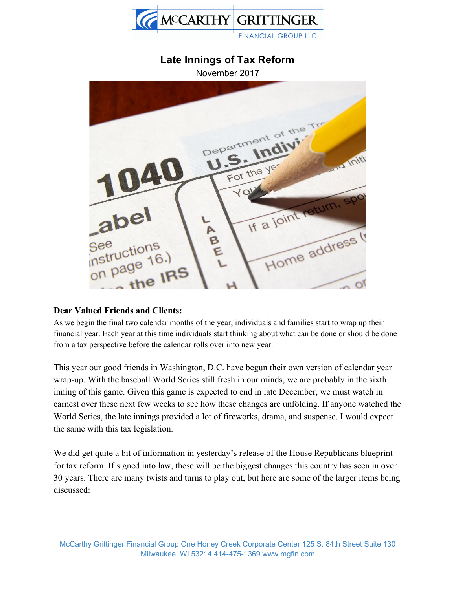

# **Late Innings of Tax Reform**

November 2017



#### **Dear Valued Friends and Clients:**

As we begin the final two calendar months of the year, individuals and families start to wrap up their financial year. Each year at this time individuals start thinking about what can be done or should be done from a tax perspective before the calendar rolls over into new year.

This year our good friends in Washington, D.C. have begun their own version of calendar year wrap-up. With the baseball World Series still fresh in our minds, we are probably in the sixth inning of this game. Given this game is expected to end in late December, we must watch in earnest over these next few weeks to see how these changes are unfolding. If anyone watched the World Series, the late innings provided a lot of fireworks, drama, and suspense. I would expect the same with this tax legislation.

We did get quite a bit of information in yesterday's release of the House Republicans blueprint for tax reform. If signed into law, these will be the biggest changes this country has seen in over 30 years. There are many twists and turns to play out, but here are some of the larger items being discussed: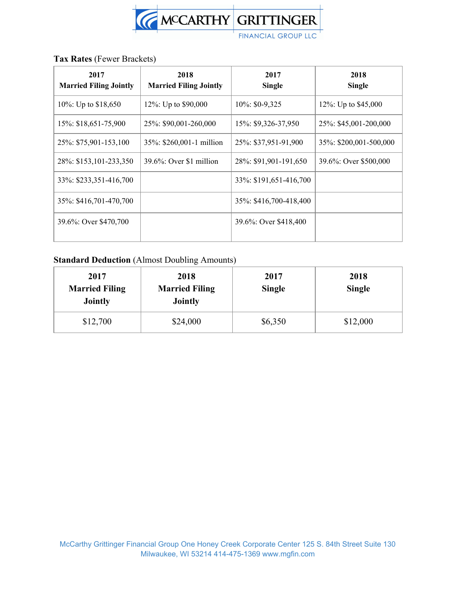

### **Tax Rates** (Fewer Brackets)

| 2017<br><b>Married Filing Jointly</b> | 2018<br><b>Married Filing Jointly</b> | 2017<br><b>Single</b>  | 2018<br><b>Single</b>  |
|---------------------------------------|---------------------------------------|------------------------|------------------------|
| 10\%: Up to \$18,650                  | 12%: Up to \$90,000                   | $10\%$ : \$0-9,325     | 12\%: Up to \$45,000   |
| 15%: \$18,651-75,900                  | 25\%: \$90,001-260,000                | 15%: \$9,326-37,950    | 25\%: \$45,001-200,000 |
| 25%: \$75,901-153,100                 | 35%: \$260,001-1 million              | 25%: \$37,951-91,900   | 35%: \$200,001-500,000 |
| 28%: \$153,101-233,350                | $39.6\%$ : Over \$1 million           | 28\%: \$91,901-191,650 | 39.6%: Over \$500,000  |
| 33%: \$233,351-416,700                |                                       | 33%: \$191,651-416,700 |                        |
| 35%: \$416,701-470,700                |                                       | 35%: \$416,700-418,400 |                        |
| 39.6%: Over \$470,700                 |                                       | 39.6%: Over \$418,400  |                        |

## **Standard Deduction** (Almost Doubling Amounts)

| 2017<br><b>Married Filing</b><br><b>Jointly</b> | 2018<br><b>Married Filing</b><br><b>Jointly</b> | 2017<br><b>Single</b> | 2018<br><b>Single</b> |
|-------------------------------------------------|-------------------------------------------------|-----------------------|-----------------------|
| \$12,700                                        | \$24,000                                        | \$6,350               | \$12,000              |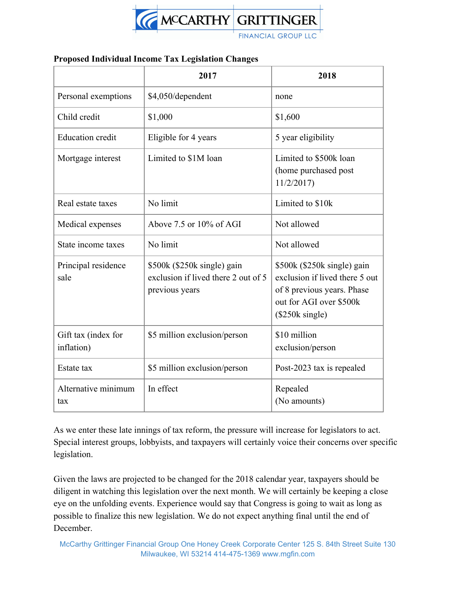

#### **Proposed Individual Income Tax Legislation Changes**

|                                   | 2017                                                                                 | 2018                                                                                                                                                |
|-----------------------------------|--------------------------------------------------------------------------------------|-----------------------------------------------------------------------------------------------------------------------------------------------------|
| Personal exemptions               | \$4,050/dependent                                                                    | none                                                                                                                                                |
| Child credit                      | \$1,000                                                                              | \$1,600                                                                                                                                             |
| <b>Education</b> credit           | Eligible for 4 years                                                                 | 5 year eligibility                                                                                                                                  |
| Mortgage interest                 | Limited to \$1M loan                                                                 | Limited to \$500k loan<br>(home purchased post<br>11/2/2017                                                                                         |
| Real estate taxes                 | No limit                                                                             | Limited to \$10k                                                                                                                                    |
| Medical expenses                  | Above $7.5$ or $10\%$ of AGI                                                         | Not allowed                                                                                                                                         |
| State income taxes                | No limit                                                                             | Not allowed                                                                                                                                         |
| Principal residence<br>sale       | \$500k (\$250k single) gain<br>exclusion if lived there 2 out of 5<br>previous years | \$500k (\$250k single) gain<br>exclusion if lived there 5 out<br>of 8 previous years. Phase<br>out for AGI over \$500k<br>$(\$250k \text{ single})$ |
| Gift tax (index for<br>inflation) | \$5 million exclusion/person                                                         | \$10 million<br>exclusion/person                                                                                                                    |
| Estate tax                        | \$5 million exclusion/person                                                         | Post-2023 tax is repealed                                                                                                                           |
| Alternative minimum<br>tax        | In effect                                                                            | Repealed<br>(No amounts)                                                                                                                            |

As we enter these late innings of tax reform, the pressure will increase for legislators to act. Special interest groups, lobbyists, and taxpayers will certainly voice their concerns over specific legislation.

Given the laws are projected to be changed for the 2018 calendar year, taxpayers should be diligent in watching this legislation over the next month. We will certainly be keeping a close eye on the unfolding events. Experience would say that Congress is going to wait as long as possible to finalize this new legislation. We do not expect anything final until the end of December.